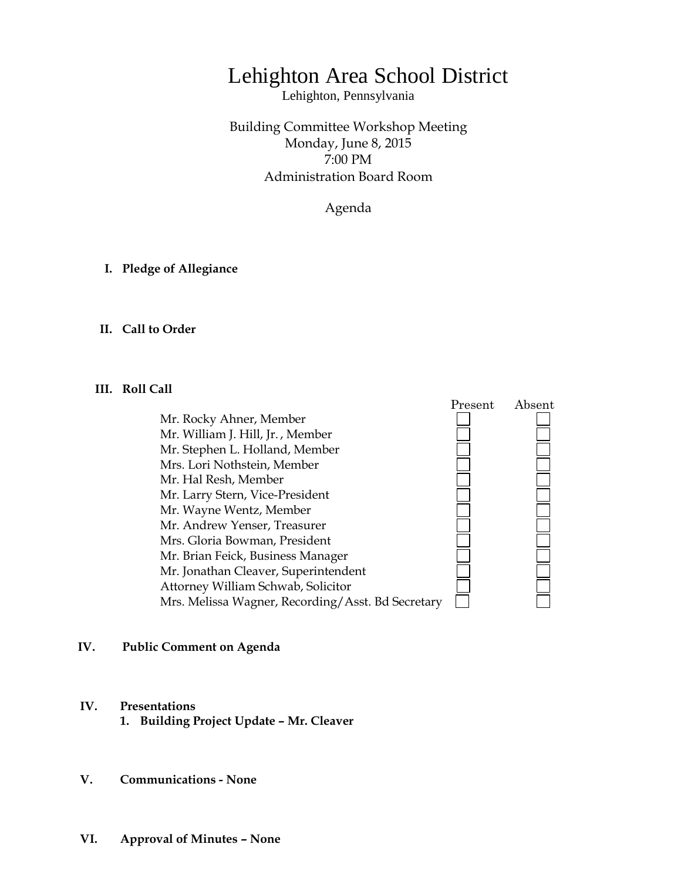# Lehighton Area School District

Lehighton, Pennsylvania

Building Committee Workshop Meeting Monday, June 8, 2015 7:00 PM Administration Board Room

Agenda

**I. Pledge of Allegiance**

### **II. Call to Order**

#### **III. Roll Call**

 Present Absent Mr. Rocky Ahner, Member Mr. William J. Hill, Jr. , Member Mr. Stephen L. Holland, Member Mrs. Lori Nothstein, Member **DEDEDEDE** Mr. Hal Resh, Member Mr. Larry Stern, Vice-President Mr. Wayne Wentz, Member Mr. Andrew Yenser, Treasurer Mrs. Gloria Bowman, President Mr. Brian Feick, Business Manager Mr. Jonathan Cleaver, Superintendent Attorney William Schwab, Solicitor Mrs. Melissa Wagner, Recording/Asst. Bd Secretary

#### **IV. Public Comment on Agenda**

# **IV. Presentations**

- **1. Building Project Update – Mr. Cleaver**
- **V. Communications - None**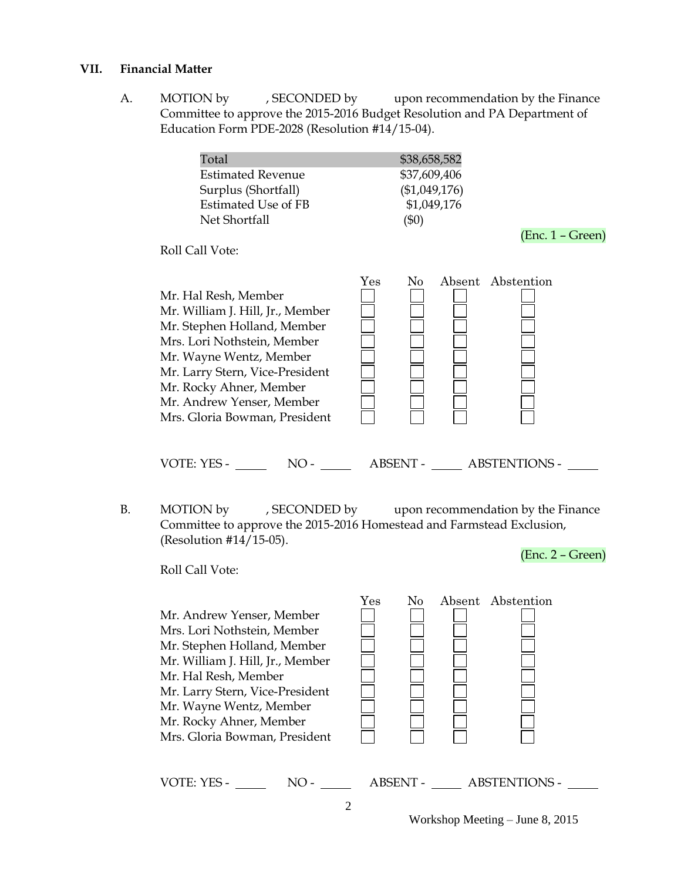#### **VII. Financial Matter**

A. MOTION by , SECONDED by upon recommendation by the Finance Committee to approve the 2015-2016 Budget Resolution and PA Department of Education Form PDE-2028 (Resolution #14/15-04).

| Total<br><b>Estimated Revenue</b><br>Surplus (Shortfall)<br><b>Estimated Use of FB</b><br>Net Shortfall                                                                                                                                                                       | \$38,658,582<br>\$37,609,406<br>(\$1,049,176)<br>\$1,049,176<br>$(\$0)$ |     | $(Enc. 1 - Green)$ |
|-------------------------------------------------------------------------------------------------------------------------------------------------------------------------------------------------------------------------------------------------------------------------------|-------------------------------------------------------------------------|-----|--------------------|
| Roll Call Vote:                                                                                                                                                                                                                                                               |                                                                         |     |                    |
| Mr. Hal Resh, Member<br>Mr. William J. Hill, Jr., Member<br>Mr. Stephen Holland, Member<br>Mrs. Lori Nothstein, Member<br>Mr. Wayne Wentz, Member<br>Mr. Larry Stern, Vice-President<br>Mr. Rocky Ahner, Member<br>Mr. Andrew Yenser, Member<br>Mrs. Gloria Bowman, President | Yes                                                                     | No. | Absent Abstention  |

VOTE: YES - NO - NO - ABSENT - ABSTENTIONS -

B. MOTION by , SECONDED by upon recommendation by the Finance Committee to approve the 2015-2016 Homestead and Farmstead Exclusion, (Resolution #14/15-05).

Roll Call Vote:

 Mr. Andrew Yenser, Member Mrs. Lori Nothstein, Member Mr. Stephen Holland, Member Mr. William J. Hill, Jr., Member Mr. Hal Resh, Member Mr. Larry Stern, Vice-President Mr. Wayne Wentz, Member Mr. Rocky Ahner, Member Mrs. Gloria Bowman, President



| VOTF· | $\tau$ | ABSENT                   | <b>ABSTENTIONS -</b> |
|-------|--------|--------------------------|----------------------|
| - = ت | Ñ      | $\overline{\phantom{0}}$ |                      |
| . .   | . .    |                          |                      |
|       |        |                          |                      |

Workshop Meeting – June 8, 2015

(Enc. 2 – Green)